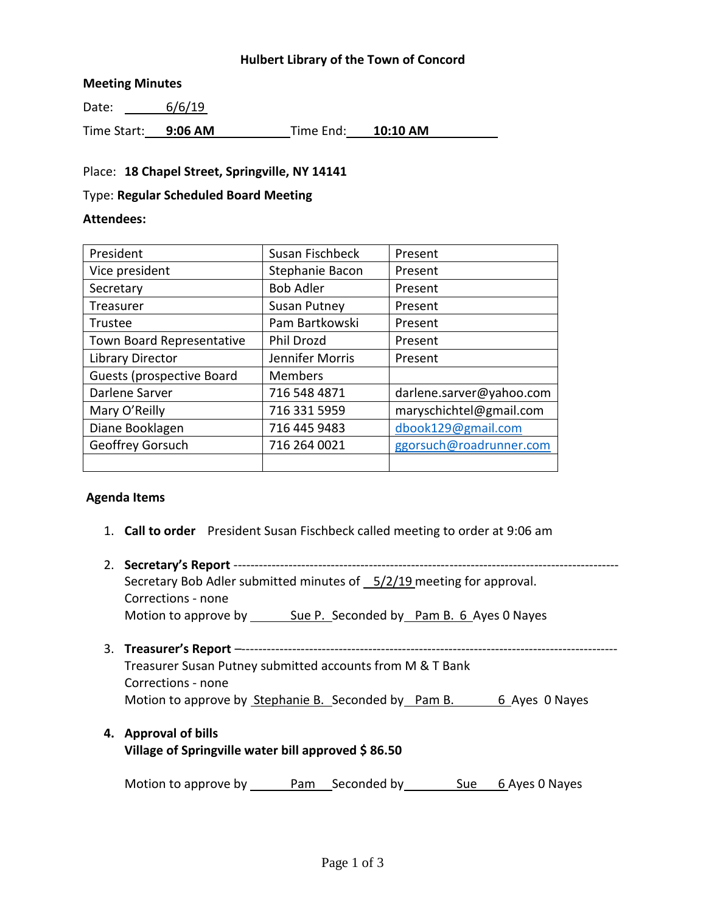# **Hulbert Library of the Town of Concord**

#### **Meeting Minutes**

Date: 6/6/19

Time Start: **9:06 AM** Time End: **10:10 AM**

# Place: **18 Chapel Street, Springville, NY 14141**

#### Type: **Regular Scheduled Board Meeting**

#### **Attendees:**

| President                        | Susan Fischbeck     | Present                  |
|----------------------------------|---------------------|--------------------------|
| Vice president                   | Stephanie Bacon     | Present                  |
| Secretary                        | <b>Bob Adler</b>    | Present                  |
| <b>Treasurer</b>                 | <b>Susan Putney</b> | Present                  |
| Trustee                          | Pam Bartkowski      | Present                  |
| Town Board Representative        | <b>Phil Drozd</b>   | Present                  |
| Library Director                 | Jennifer Morris     | Present                  |
| <b>Guests (prospective Board</b> | <b>Members</b>      |                          |
| Darlene Sarver                   | 716 548 4871        | darlene.sarver@yahoo.com |
| Mary O'Reilly                    | 716 331 5959        | maryschichtel@gmail.com  |
| Diane Booklagen                  | 716 445 9483        | dbook129@gmail.com       |
| Geoffrey Gorsuch                 | 716 264 0021        | ggorsuch@roadrunner.com  |
|                                  |                     |                          |

# **Agenda Items**

- 1. **Call to order** President Susan Fischbeck called meeting to order at 9:06 am
- 2. **Secretary's Report** ------------------------------------------------------------------------------------------- Secretary Bob Adler submitted minutes of 5/2/19 meeting for approval. Corrections - none Motion to approve by \_\_\_\_\_\_\_\_ Sue P. Seconded by Pam B. 6 Ayes 0 Nayes
- 3. **Treasurer's Report** –----------------------------------------------------------------------------------------- Treasurer Susan Putney submitted accounts from M & T Bank Corrections - none Motion to approve by Stephanie B. Seconded by Pam B. 6 Ayes 0 Nayes

# **4. Approval of bills Village of Springville water bill approved \$ 86.50**

Motion to approve by Pam Seconded by Sue 6 Ayes 0 Nayes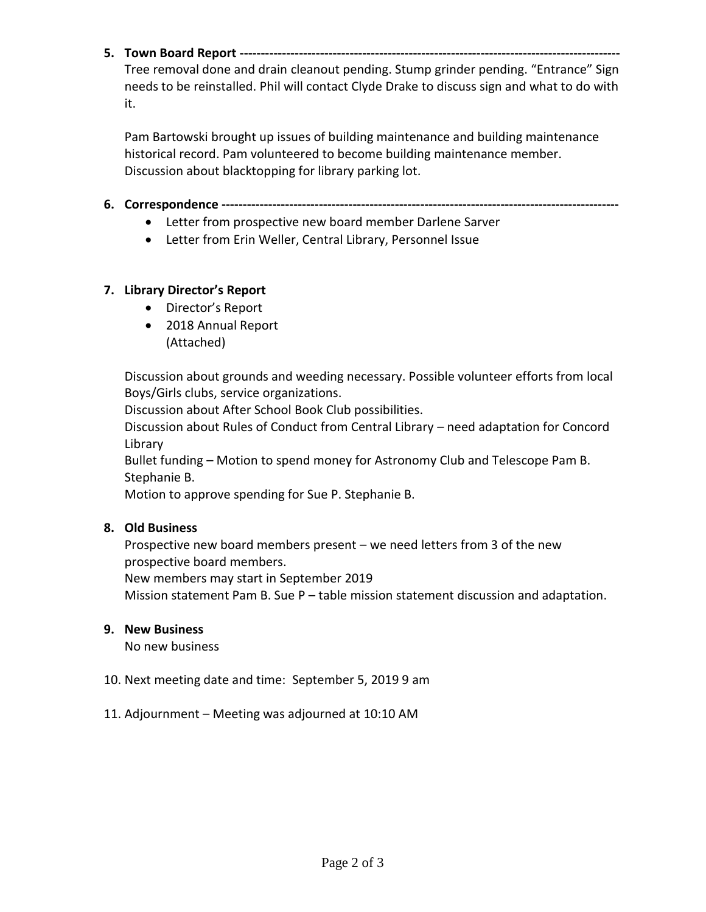**5. Town Board Report ------------------------------------------------------------------------------------------**

Tree removal done and drain cleanout pending. Stump grinder pending. "Entrance" Sign needs to be reinstalled. Phil will contact Clyde Drake to discuss sign and what to do with it.

Pam Bartowski brought up issues of building maintenance and building maintenance historical record. Pam volunteered to become building maintenance member. Discussion about blacktopping for library parking lot.

- **6. Correspondence ----------------------------------------------------------------------------------------------**
	- Letter from prospective new board member Darlene Sarver
	- Letter from Erin Weller, Central Library, Personnel Issue

# **7. Library Director's Report**

- Director's Report
- 2018 Annual Report (Attached)

Discussion about grounds and weeding necessary. Possible volunteer efforts from local Boys/Girls clubs, service organizations.

Discussion about After School Book Club possibilities.

Discussion about Rules of Conduct from Central Library – need adaptation for Concord Library

Bullet funding – Motion to spend money for Astronomy Club and Telescope Pam B. Stephanie B.

Motion to approve spending for Sue P. Stephanie B.

# **8. Old Business**

Prospective new board members present – we need letters from 3 of the new prospective board members.

New members may start in September 2019

Mission statement Pam B. Sue P – table mission statement discussion and adaptation.

# **9. New Business**

No new business

- 10. Next meeting date and time: September 5, 2019 9 am
- 11. Adjournment Meeting was adjourned at 10:10 AM